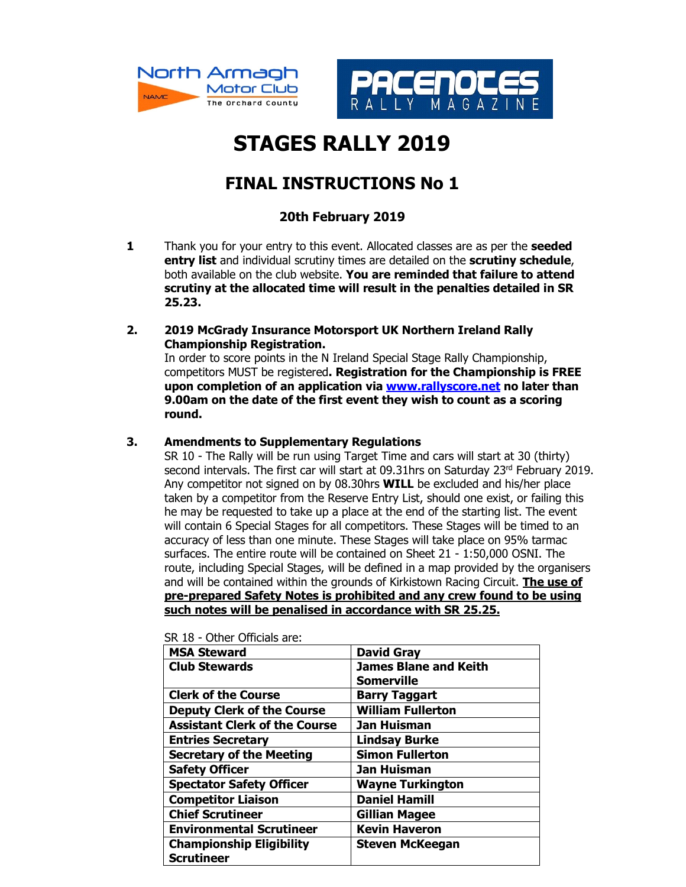



## **STAGES RALLY 2019**

## **FINAL INSTRUCTIONS No 1**

## **20th February 2019**

- **1** Thank you for your entry to this event. Allocated classes are as per the **seeded entry list** and individual scrutiny times are detailed on the **scrutiny schedule**, both available on the club website. **You are reminded that failure to attend scrutiny at the allocated time will result in the penalties detailed in SR 25.23.**
- **2. 2019 McGrady Insurance Motorsport UK Northern Ireland Rally Championship Registration.**

In order to score points in the N Ireland Special Stage Rally Championship, competitors MUST be registered**. Registration for the Championship is FREE upon completion of an application via www.rallyscore.net no later than 9.00am on the date of the first event they wish to count as a scoring round.** 

## **3. Amendments to Supplementary Regulations**

SR 10 - The Rally will be run using Target Time and cars will start at 30 (thirty) second intervals. The first car will start at 09.31hrs on Saturday 23<sup>rd</sup> February 2019. Any competitor not signed on by 08.30hrs **WILL** be excluded and his/her place taken by a competitor from the Reserve Entry List, should one exist, or failing this he may be requested to take up a place at the end of the starting list. The event will contain 6 Special Stages for all competitors. These Stages will be timed to an accuracy of less than one minute. These Stages will take place on 95% tarmac surfaces. The entire route will be contained on Sheet 21 - 1:50,000 OSNI. The route, including Special Stages, will be defined in a map provided by the organisers and will be contained within the grounds of Kirkistown Racing Circuit. **The use of pre-prepared Safety Notes is prohibited and any crew found to be using such notes will be penalised in accordance with SR 25.25.** 

| <b>David Gray</b>            |
|------------------------------|
| <b>James Blane and Keith</b> |
| Somerville                   |
| <b>Barry Taggart</b>         |
| <b>William Fullerton</b>     |
| Jan Huisman                  |
| <b>Lindsay Burke</b>         |
| <b>Simon Fullerton</b>       |
| Jan Huisman                  |
| <b>Wayne Turkington</b>      |
| <b>Daniel Hamill</b>         |
| <b>Gillian Magee</b>         |
| <b>Kevin Haveron</b>         |
| <b>Steven McKeegan</b>       |
|                              |
|                              |

SR 18 - Other Officials are: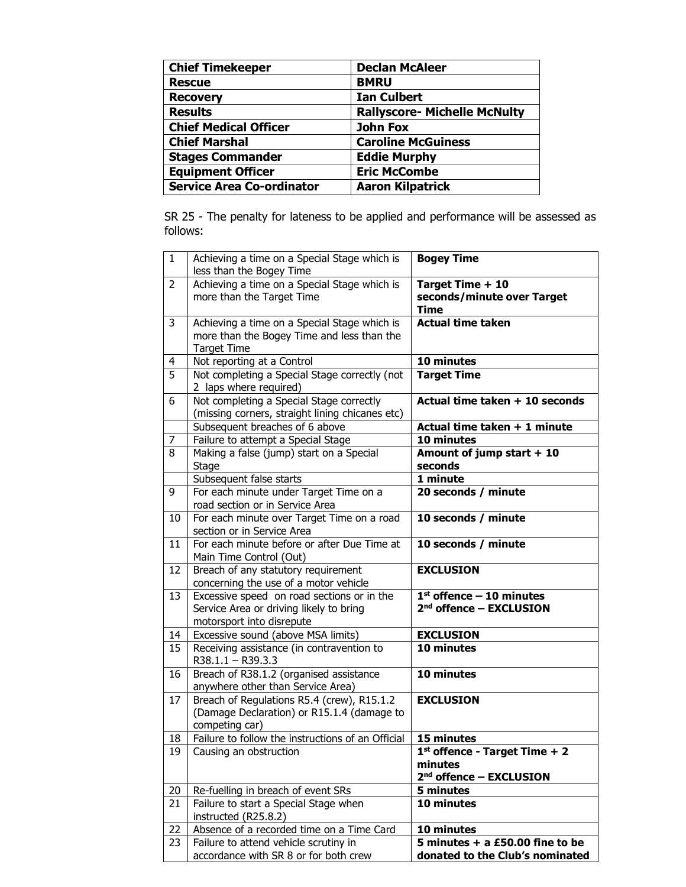| <b>Chief Timekeeper</b>          | <b>Declan McAleer</b>               |
|----------------------------------|-------------------------------------|
| <b>Rescue</b>                    | <b>BMRU</b>                         |
| <b>Recovery</b>                  | <b>Ian Culbert</b>                  |
| <b>Results</b>                   | <b>Rallyscore- Michelle McNulty</b> |
| <b>Chief Medical Officer</b>     | <b>John Fox</b>                     |
| <b>Chief Marshal</b>             | <b>Caroline McGuiness</b>           |
| <b>Stages Commander</b>          | <b>Eddie Murphy</b>                 |
| <b>Equipment Officer</b>         | <b>Eric McCombe</b>                 |
| <b>Service Area Co-ordinator</b> | <b>Aaron Kilpatrick</b>             |

SR 25 - The penalty for lateness to be applied and performance will be assessed as follows:

| $\mathbf{1}$   | Achieving a time on a Special Stage which is<br>less than the Bogey Time                                           | <b>Bogey Time</b>                                                                 |
|----------------|--------------------------------------------------------------------------------------------------------------------|-----------------------------------------------------------------------------------|
| $\overline{2}$ | Achieving a time on a Special Stage which is<br>more than the Target Time                                          | Target Time + 10<br>seconds/minute over Target<br><b>Time</b>                     |
| 3              | Achieving a time on a Special Stage which is<br>more than the Bogey Time and less than the<br><b>Target Time</b>   | <b>Actual time taken</b>                                                          |
| 4              | Not reporting at a Control                                                                                         | 10 minutes                                                                        |
| $\overline{5}$ | Not completing a Special Stage correctly (not<br>2 laps where required)                                            | <b>Target Time</b>                                                                |
| 6              | Not completing a Special Stage correctly<br>(missing corners, straight lining chicanes etc)                        | Actual time taken + 10 seconds                                                    |
|                | Subsequent breaches of 6 above                                                                                     | Actual time taken + 1 minute                                                      |
| 7              | Failure to attempt a Special Stage                                                                                 | 10 minutes                                                                        |
| 8              | Making a false (jump) start on a Special<br><b>Stage</b>                                                           | Amount of jump start + 10<br>seconds                                              |
|                | Subsequent false starts                                                                                            | 1 minute                                                                          |
| 9              | For each minute under Target Time on a<br>road section or in Service Area                                          | 20 seconds / minute                                                               |
| 10             | For each minute over Target Time on a road<br>section or in Service Area                                           | 10 seconds / minute                                                               |
| 11             | For each minute before or after Due Time at<br>Main Time Control (Out)                                             | 10 seconds / minute                                                               |
| 12             | Breach of any statutory requirement<br>concerning the use of a motor vehicle                                       | <b>EXCLUSION</b>                                                                  |
| 13             | Excessive speed on road sections or in the<br>Service Area or driving likely to bring<br>motorsport into disrepute | $1st$ offence - 10 minutes<br>2 <sup>nd</sup> offence - EXCLUSION                 |
| 14             | Excessive sound (above MSA limits)                                                                                 | <b>EXCLUSION</b>                                                                  |
| 15             | Receiving assistance (in contravention to<br>R38.1.1 - R39.3.3                                                     | 10 minutes                                                                        |
| 16             | Breach of R38.1.2 (organised assistance<br>anywhere other than Service Area)                                       | 10 minutes                                                                        |
| 17             | Breach of Regulations R5.4 (crew), R15.1.2<br>(Damage Declaration) or R15.1.4 (damage to<br>competing car)         | <b>EXCLUSION</b>                                                                  |
| 18             | Failure to follow the instructions of an Official                                                                  | 15 minutes                                                                        |
| 19             | Causing an obstruction                                                                                             | $1st$ offence - Target Time + 2<br>minutes<br>2 <sup>nd</sup> offence - EXCLUSION |
| 20             | Re-fuelling in breach of event SRs                                                                                 | 5 minutes                                                                         |
| 21             | Failure to start a Special Stage when<br>instructed (R25.8.2)                                                      | 10 minutes                                                                        |
| 22             | Absence of a recorded time on a Time Card                                                                          | 10 minutes                                                                        |
| 23             | Failure to attend vehicle scrutiny in                                                                              | 5 minutes $+$ a £50.00 fine to be                                                 |
|                | accordance with SR 8 or for both crew                                                                              | donated to the Club's nominated                                                   |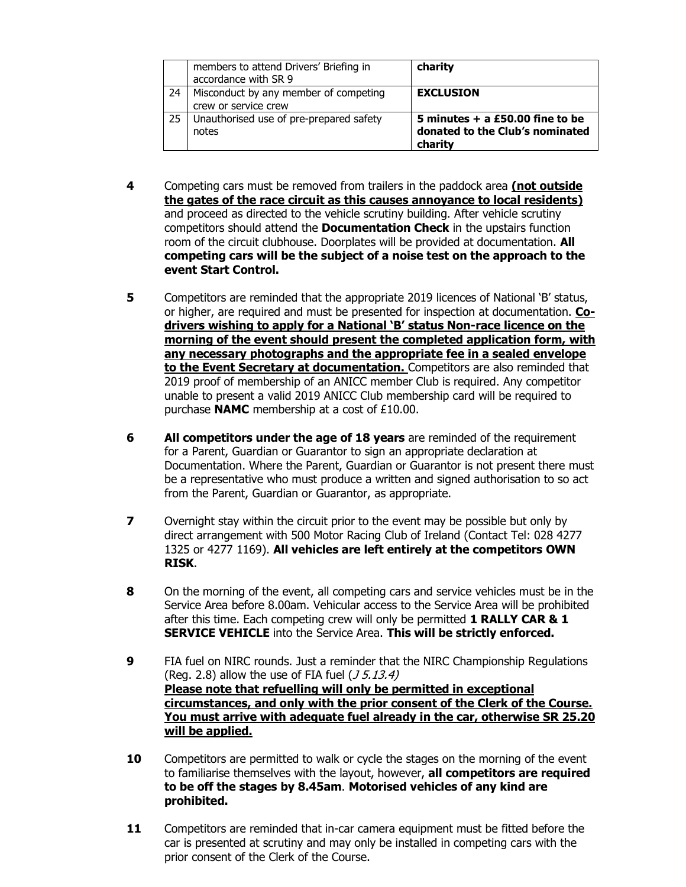|    | members to attend Drivers' Briefing in<br>accordance with SR 9 | charity                                                                         |
|----|----------------------------------------------------------------|---------------------------------------------------------------------------------|
| 24 | Misconduct by any member of competing<br>crew or service crew  | <b>EXCLUSION</b>                                                                |
| 25 | Unauthorised use of pre-prepared safety<br>notes               | 5 minutes $+$ a £50.00 fine to be<br>donated to the Club's nominated<br>charity |

- **4** Competing cars must be removed from trailers in the paddock area **(not outside the gates of the race circuit as this causes annoyance to local residents)**  and proceed as directed to the vehicle scrutiny building. After vehicle scrutiny competitors should attend the **Documentation Check** in the upstairs function room of the circuit clubhouse. Doorplates will be provided at documentation. **All competing cars will be the subject of a noise test on the approach to the event Start Control.**
- **5** Competitors are reminded that the appropriate 2019 licences of National 'B' status, or higher, are required and must be presented for inspection at documentation. **Codrivers wishing to apply for a National 'B' status Non-race licence on the morning of the event should present the completed application form, with any necessary photographs and the appropriate fee in a sealed envelope to the Event Secretary at documentation.** Competitors are also reminded that 2019 proof of membership of an ANICC member Club is required. Any competitor unable to present a valid 2019 ANICC Club membership card will be required to purchase **NAMC** membership at a cost of £10.00.
- **6 All competitors under the age of 18 years** are reminded of the requirement for a Parent, Guardian or Guarantor to sign an appropriate declaration at Documentation. Where the Parent, Guardian or Guarantor is not present there must be a representative who must produce a written and signed authorisation to so act from the Parent, Guardian or Guarantor, as appropriate.
- **7** Overnight stay within the circuit prior to the event may be possible but only by direct arrangement with 500 Motor Racing Club of Ireland (Contact Tel: 028 4277 1325 or 4277 1169). **All vehicles are left entirely at the competitors OWN RISK**.
- **8** On the morning of the event, all competing cars and service vehicles must be in the Service Area before 8.00am. Vehicular access to the Service Area will be prohibited after this time. Each competing crew will only be permitted **1 RALLY CAR & 1 SERVICE VEHICLE** into the Service Area. **This will be strictly enforced.**
- **9** FIA fuel on NIRC rounds. Just a reminder that the NIRC Championship Regulations (Reg. 2.8) allow the use of FIA fuel  $(J 5.13.4)$ **Please note that refuelling will only be permitted in exceptional circumstances, and only with the prior consent of the Clerk of the Course. You must arrive with adequate fuel already in the car, otherwise SR 25.20 will be applied.**
- **10** Competitors are permitted to walk or cycle the stages on the morning of the event to familiarise themselves with the layout, however, **all competitors are required to be off the stages by 8.45am**. **Motorised vehicles of any kind are prohibited.**
- **11** Competitors are reminded that in-car camera equipment must be fitted before the car is presented at scrutiny and may only be installed in competing cars with the prior consent of the Clerk of the Course.